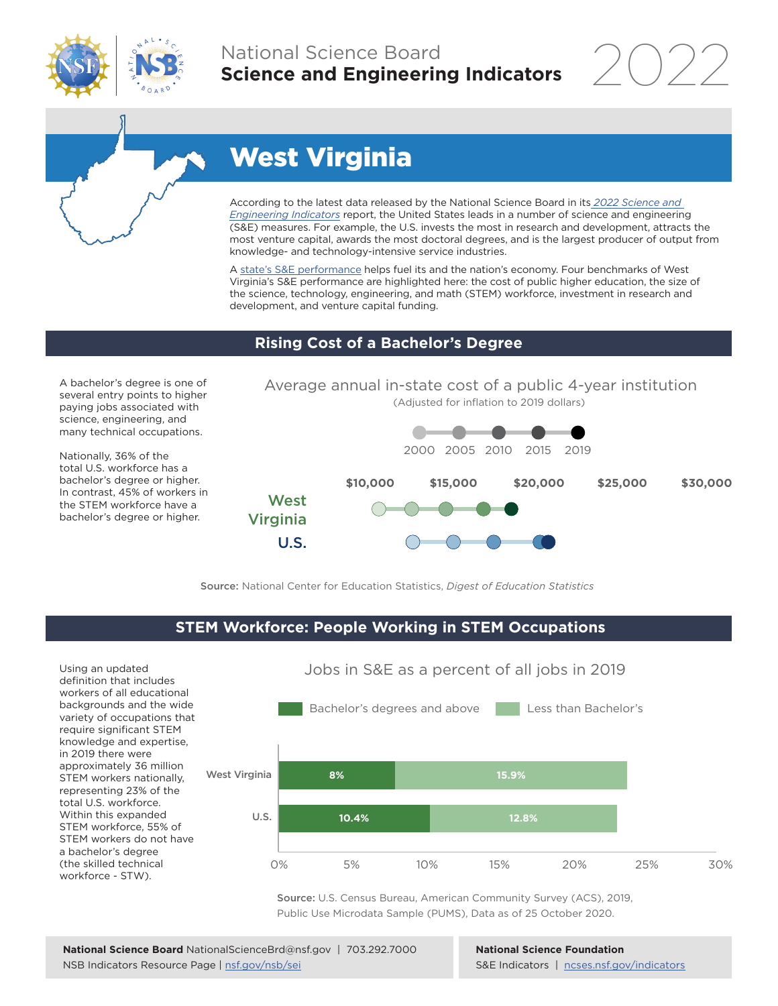

## National Science Board **Science and Engineering Indicators**

2022



# West Virginia

According to the latest data released by the National Science Board in its *[2022 Science and](https://www.ncses.nsf.gov/indicators)  [Engineering Indicators](https://www.ncses.nsf.gov/indicators)* report, the United States leads in a number of science and engineering (S&E) measures. For example, the U.S. invests the most in research and development, attracts the most venture capital, awards the most doctoral degrees, and is the largest producer of output from knowledge- and technology-intensive service industries.

A state's S&E performance helps fuel its and the nation's economy. Four benchmarks of West Virginia's S&E performance are highlighted here: the cost of public higher education, the size of the science, technology, engineering, and math (STEM) workforce, investment in research and development, and venture capital funding.

#### **Rising Cost of a Bachelor's Degree**

A bachelor's degree is one of several entry points to higher paying jobs associated with science, engineering, and many technical occupations.

Nationally, 36% of the total U.S. workforce has a bachelor's degree or higher. In contrast, 45% of workers in the STEM workforce have a bachelor's degree or higher.



Source: National Center for Education Statistics, *Digest of Education Statistics*

#### **STEM Workforce: People Working in STEM Occupations**

Using an updated definition that includes workers of all educational backgrounds and the wide variety of occupations that require significant STEM knowledge and expertise, in 2019 there were approximately 36 million STEM workers nationally, representing 23% of the total U.S. workforce. Within this expanded STEM workforce, 55% of STEM workers do not have a bachelor's degree (the skilled technical workforce - STW).



Source: U.S. Census Bureau, American Community Survey (ACS), 2019, Public Use Microdata Sample (PUMS), Data as of 25 October 2020.

**National Science Foundation** S&E Indicators | [ncses.nsf.gov/indicators](https://www.ncses.nsf.gov/indicators)

#### Jobs in S&E as a percent of all jobs in 2019